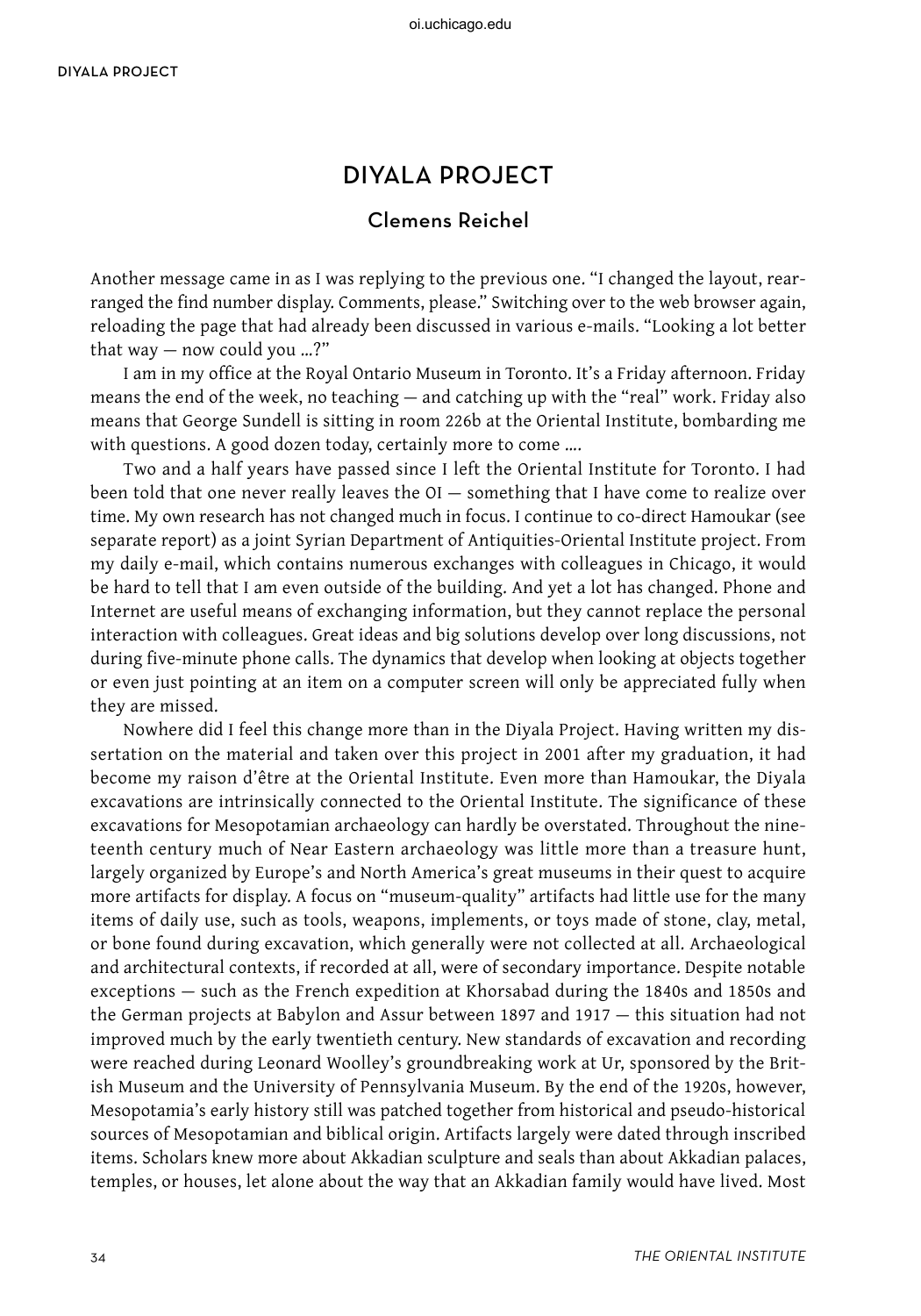## diyala project

## Clemens Reichel

Another message came in as I was replying to the previous one. "I changed the layout, rearranged the find number display. Comments, please." Switching over to the web browser again, reloading the page that had already been discussed in various e-mails. "Looking a lot better that way — now could you …?"

I am in my office at the Royal Ontario Museum in Toronto. It's a Friday afternoon. Friday means the end of the week, no teaching — and catching up with the "real" work. Friday also means that George Sundell is sitting in room 226b at the Oriental Institute, bombarding me with questions. A good dozen today, certainly more to come ....

Two and a half years have passed since I left the Oriental Institute for Toronto. I had been told that one never really leaves the OI — something that I have come to realize over time. My own research has not changed much in focus. I continue to co-direct Hamoukar (see separate report) as a joint Syrian Department of Antiquities-Oriental Institute project. From my daily e-mail, which contains numerous exchanges with colleagues in Chicago, it would be hard to tell that I am even outside of the building. And yet a lot has changed. Phone and Internet are useful means of exchanging information, but they cannot replace the personal interaction with colleagues. Great ideas and big solutions develop over long discussions, not during five-minute phone calls. The dynamics that develop when looking at objects together or even just pointing at an item on a computer screen will only be appreciated fully when they are missed.

Nowhere did I feel this change more than in the Diyala Project. Having written my dissertation on the material and taken over this project in 2001 after my graduation, it had become my raison d'être at the Oriental Institute. Even more than Hamoukar, the Diyala excavations are intrinsically connected to the Oriental Institute. The significance of these excavations for Mesopotamian archaeology can hardly be overstated. Throughout the nineteenth century much of Near Eastern archaeology was little more than a treasure hunt, largely organized by Europe's and North America's great museums in their quest to acquire more artifacts for display. A focus on "museum-quality" artifacts had little use for the many items of daily use, such as tools, weapons, implements, or toys made of stone, clay, metal, or bone found during excavation, which generally were not collected at all. Archaeological and architectural contexts, if recorded at all, were of secondary importance. Despite notable exceptions — such as the French expedition at Khorsabad during the 1840s and 1850s and the German projects at Babylon and Assur between 1897 and 1917 — this situation had not improved much by the early twentieth century. New standards of excavation and recording were reached during Leonard Woolley's groundbreaking work at Ur, sponsored by the British Museum and the University of Pennsylvania Museum. By the end of the 1920s, however, Mesopotamia's early history still was patched together from historical and pseudo-historical sources of Mesopotamian and biblical origin. Artifacts largely were dated through inscribed items. Scholars knew more about Akkadian sculpture and seals than about Akkadian palaces, temples, or houses, let alone about the way that an Akkadian family would have lived. Most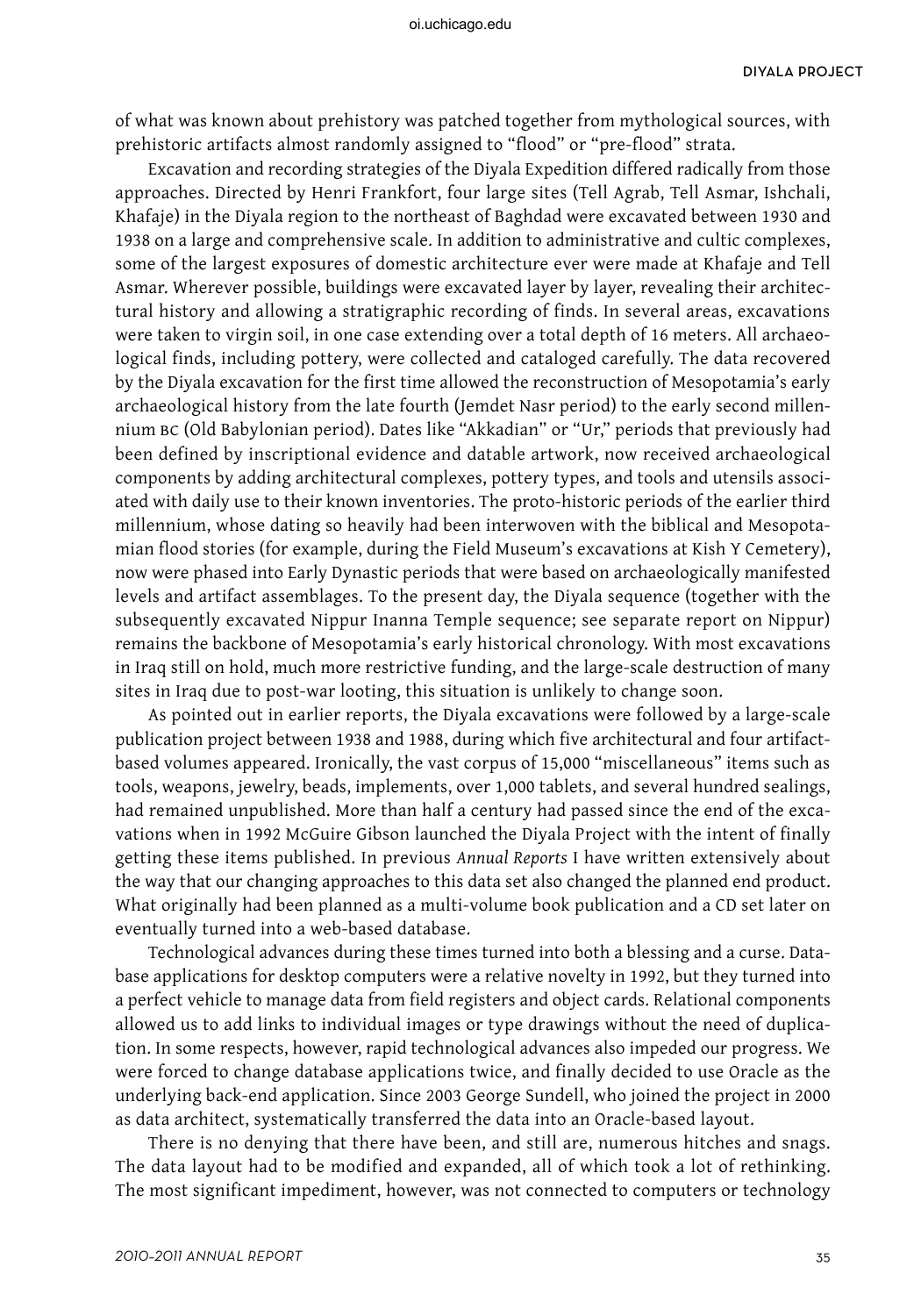of what was known about prehistory was patched together from mythological sources, with prehistoric artifacts almost randomly assigned to "flood" or "pre-flood" strata.

Excavation and recording strategies of the Diyala Expedition differed radically from those approaches. Directed by Henri Frankfort, four large sites (Tell Agrab, Tell Asmar, Ishchali, Khafaje) in the Diyala region to the northeast of Baghdad were excavated between 1930 and 1938 on a large and comprehensive scale. In addition to administrative and cultic complexes, some of the largest exposures of domestic architecture ever were made at Khafaje and Tell Asmar. Wherever possible, buildings were excavated layer by layer, revealing their architectural history and allowing a stratigraphic recording of finds. In several areas, excavations were taken to virgin soil, in one case extending over a total depth of 16 meters. All archaeological finds, including pottery, were collected and cataloged carefully. The data recovered by the Diyala excavation for the first time allowed the reconstruction of Mesopotamia's early archaeological history from the late fourth (Jemdet Nasr period) to the early second millennium bc (Old Babylonian period). Dates like "Akkadian" or "Ur," periods that previously had been defined by inscriptional evidence and datable artwork, now received archaeological components by adding architectural complexes, pottery types, and tools and utensils associated with daily use to their known inventories. The proto-historic periods of the earlier third millennium, whose dating so heavily had been interwoven with the biblical and Mesopotamian flood stories (for example, during the Field Museum's excavations at Kish Y Cemetery), now were phased into Early Dynastic periods that were based on archaeologically manifested levels and artifact assemblages. To the present day, the Diyala sequence (together with the subsequently excavated Nippur Inanna Temple sequence; see separate report on Nippur) remains the backbone of Mesopotamia's early historical chronology. With most excavations in Iraq still on hold, much more restrictive funding, and the large-scale destruction of many sites in Iraq due to post-war looting, this situation is unlikely to change soon.

As pointed out in earlier reports, the Diyala excavations were followed by a large-scale publication project between 1938 and 1988, during which five architectural and four artifactbased volumes appeared. Ironically, the vast corpus of 15,000 "miscellaneous" items such as tools, weapons, jewelry, beads, implements, over 1,000 tablets, and several hundred sealings, had remained unpublished. More than half a century had passed since the end of the excavations when in 1992 McGuire Gibson launched the Diyala Project with the intent of finally getting these items published. In previous *Annual Reports* I have written extensively about the way that our changing approaches to this data set also changed the planned end product. What originally had been planned as a multi-volume book publication and a CD set later on eventually turned into a web-based database.

Technological advances during these times turned into both a blessing and a curse. Database applications for desktop computers were a relative novelty in 1992, but they turned into a perfect vehicle to manage data from field registers and object cards. Relational components allowed us to add links to individual images or type drawings without the need of duplication. In some respects, however, rapid technological advances also impeded our progress. We were forced to change database applications twice, and finally decided to use Oracle as the underlying back-end application. Since 2003 George Sundell, who joined the project in 2000 as data architect, systematically transferred the data into an Oracle-based layout.

There is no denying that there have been, and still are, numerous hitches and snags. The data layout had to be modified and expanded, all of which took a lot of rethinking. The most significant impediment, however, was not connected to computers or technology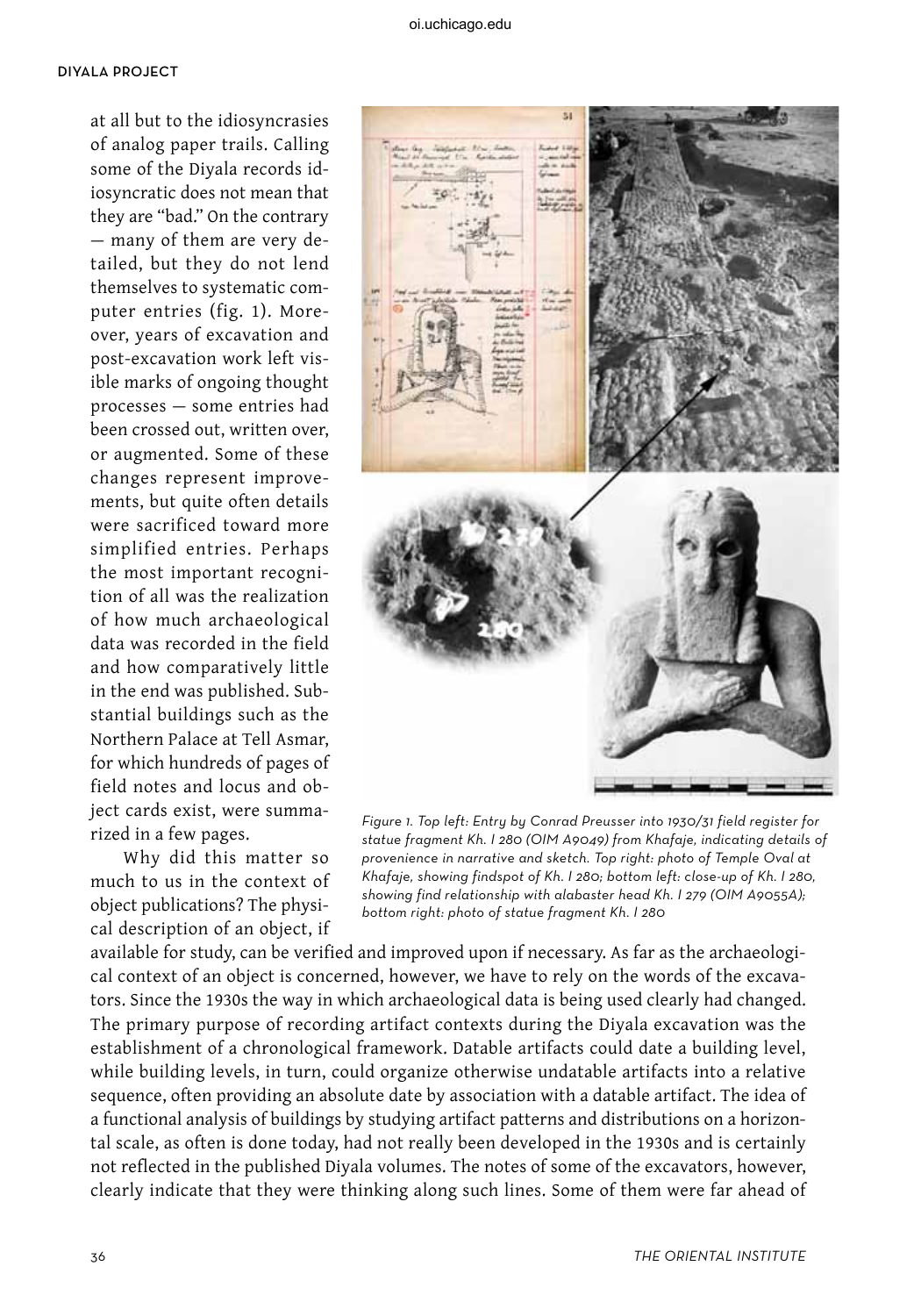## diyala project

at all but to the idiosyncrasies of analog paper trails. Calling some of the Diyala records idiosyncratic does not mean that they are "bad." On the contrary — many of them are very detailed, but they do not lend themselves to systematic computer entries (fig. 1). Moreover, years of excavation and post-excavation work left visible marks of ongoing thought processes — some entries had been crossed out, written over, or augmented. Some of these changes represent improvements, but quite often details were sacrificed toward more simplified entries. Perhaps the most important recognition of all was the realization of how much archaeological data was recorded in the field and how comparatively little in the end was published. Substantial buildings such as the Northern Palace at Tell Asmar, for which hundreds of pages of field notes and locus and object cards exist, were summarized in a few pages.

Why did this matter so much to us in the context of object publications? The physical description of an object, if



Figure 1. Top left: Entry by Conrad Preusser into 1930/31 field register for statue fragment Kh. I 280 (OIM A9049) from Khafaje, indicating details of provenience in narrative and sketch. Top right: photo of Temple Oval at Khafaje, showing findspot of Kh. I 280; bottom left: close-up of Kh. I 280, showing find relationship with alabaster head Kh. I 279 (OIM A9055A); bottom right: photo of statue fragment Kh. I 280

available for study, can be verified and improved upon if necessary. As far as the archaeological context of an object is concerned, however, we have to rely on the words of the excavators. Since the 1930s the way in which archaeological data is being used clearly had changed. The primary purpose of recording artifact contexts during the Diyala excavation was the establishment of a chronological framework. Datable artifacts could date a building level, while building levels, in turn, could organize otherwise undatable artifacts into a relative sequence, often providing an absolute date by association with a datable artifact. The idea of a functional analysis of buildings by studying artifact patterns and distributions on a horizontal scale, as often is done today, had not really been developed in the 1930s and is certainly not reflected in the published Diyala volumes. The notes of some of the excavators, however, clearly indicate that they were thinking along such lines. Some of them were far ahead of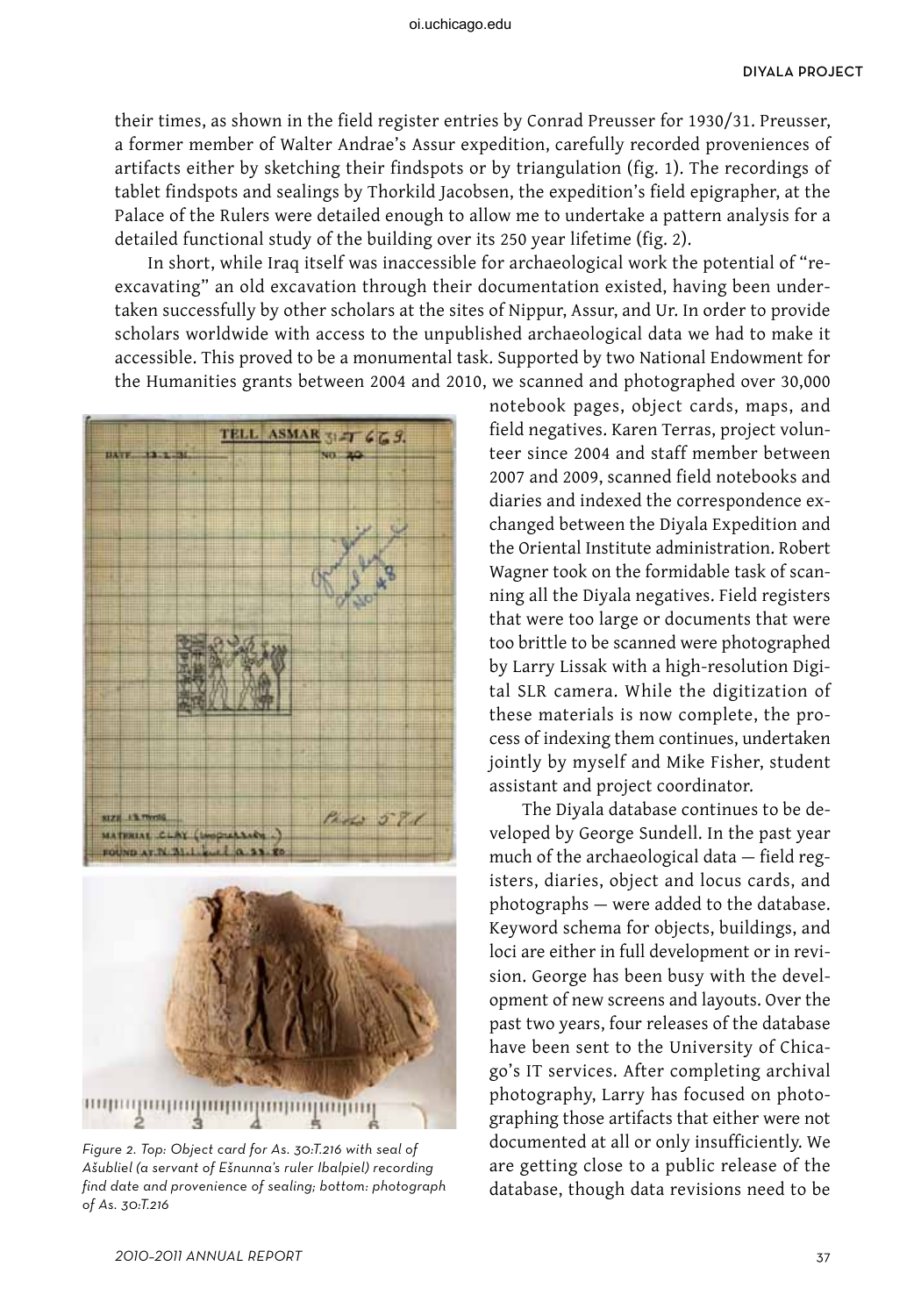their times, as shown in the field register entries by Conrad Preusser for 1930/31. Preusser, a former member of Walter Andrae's Assur expedition, carefully recorded proveniences of artifacts either by sketching their findspots or by triangulation (fig. 1). The recordings of tablet findspots and sealings by Thorkild Jacobsen, the expedition's field epigrapher, at the Palace of the Rulers were detailed enough to allow me to undertake a pattern analysis for a detailed functional study of the building over its 250 year lifetime (fig. 2).

In short, while Iraq itself was inaccessible for archaeological work the potential of "reexcavating" an old excavation through their documentation existed, having been undertaken successfully by other scholars at the sites of Nippur, Assur, and Ur. In order to provide scholars worldwide with access to the unpublished archaeological data we had to make it accessible. This proved to be a monumental task. Supported by two National Endowment for the Humanities grants between 2004 and 2010, we scanned and photographed over 30,000



Figure 2. Top: Object card for As. 30:T.216 with seal of Ašubliel (a servant of Ešnunna's ruler Ibalpiel) recording find date and provenience of sealing; bottom: photograph of As. 30:T.216

notebook pages, object cards, maps, and field negatives. Karen Terras, project volunteer since 2004 and staff member between 2007 and 2009, scanned field notebooks and diaries and indexed the correspondence exchanged between the Diyala Expedition and the Oriental Institute administration. Robert Wagner took on the formidable task of scanning all the Diyala negatives. Field registers that were too large or documents that were too brittle to be scanned were photographed by Larry Lissak with a high-resolution Digital SLR camera. While the digitization of these materials is now complete, the process of indexing them continues, undertaken jointly by myself and Mike Fisher, student assistant and project coordinator.

The Diyala database continues to be developed by George Sundell. In the past year much of the archaeological data — field registers, diaries, object and locus cards, and photographs — were added to the database. Keyword schema for objects, buildings, and loci are either in full development or in revision. George has been busy with the development of new screens and layouts. Over the past two years, four releases of the database have been sent to the University of Chicago's IT services. After completing archival photography, Larry has focused on photographing those artifacts that either were not documented at all or only insufficiently. We are getting close to a public release of the database, though data revisions need to be